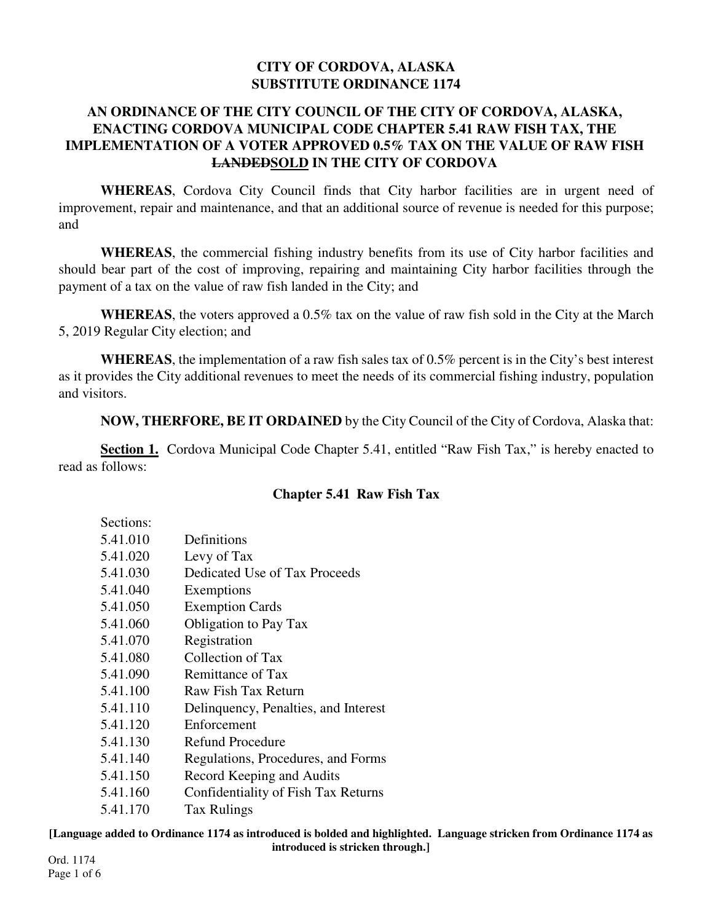#### **CITY OF CORDOVA, ALASKA SUBSTITUTE ORDINANCE 1174**

### **AN ORDINANCE OF THE CITY COUNCIL OF THE CITY OF CORDOVA, ALASKA, ENACTING CORDOVA MUNICIPAL CODE CHAPTER 5.41 RAW FISH TAX, THE IMPLEMENTATION OF A VOTER APPROVED 0.5% TAX ON THE VALUE OF RAW FISH LANDEDSOLD IN THE CITY OF CORDOVA**

**WHEREAS**, Cordova City Council finds that City harbor facilities are in urgent need of improvement, repair and maintenance, and that an additional source of revenue is needed for this purpose; and

**WHEREAS**, the commercial fishing industry benefits from its use of City harbor facilities and should bear part of the cost of improving, repairing and maintaining City harbor facilities through the payment of a tax on the value of raw fish landed in the City; and

**WHEREAS**, the voters approved a 0.5% tax on the value of raw fish sold in the City at the March 5, 2019 Regular City election; and

**WHEREAS**, the implementation of a raw fish sales tax of 0.5% percent is in the City's best interest as it provides the City additional revenues to meet the needs of its commercial fishing industry, population and visitors.

**NOW, THERFORE, BE IT ORDAINED** by the City Council of the City of Cordova, Alaska that:

**Section 1.** Cordova Municipal Code Chapter 5.41, entitled "Raw Fish Tax," is hereby enacted to read as follows:

### **Chapter 5.41 Raw Fish Tax**

| Sections: |                                      |
|-----------|--------------------------------------|
| 5.41.010  | Definitions                          |
| 5.41.020  | Levy of Tax                          |
| 5.41.030  | Dedicated Use of Tax Proceeds        |
| 5.41.040  | Exemptions                           |
| 5.41.050  | <b>Exemption Cards</b>               |
| 5.41.060  | <b>Obligation to Pay Tax</b>         |
| 5.41.070  | Registration                         |
| 5.41.080  | Collection of Tax                    |
| 5.41.090  | Remittance of Tax                    |
| 5.41.100  | Raw Fish Tax Return                  |
| 5.41.110  | Delinquency, Penalties, and Interest |
| 5.41.120  | Enforcement                          |
| 5.41.130  | Refund Procedure                     |
| 5.41.140  | Regulations, Procedures, and Forms   |
| 5.41.150  | Record Keeping and Audits            |
| 5.41.160  | Confidentiality of Fish Tax Returns  |
| 5.41.170  | <b>Tax Rulings</b>                   |

**[Language added to Ordinance 1174 as introduced is bolded and highlighted. Language stricken from Ordinance 1174 as introduced is stricken through.]**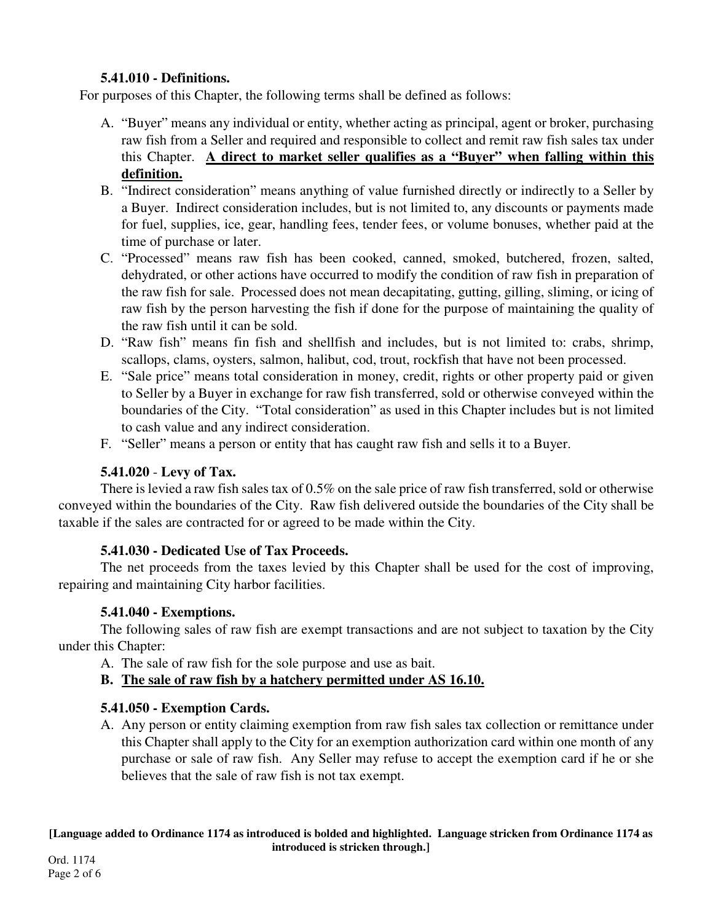## **5.41.010 - Definitions.**

For purposes of this Chapter, the following terms shall be defined as follows:

- A. "Buyer" means any individual or entity, whether acting as principal, agent or broker, purchasing raw fish from a Seller and required and responsible to collect and remit raw fish sales tax under this Chapter. **A direct to market seller qualifies as a "Buyer" when falling within this definition.**
- B. "Indirect consideration" means anything of value furnished directly or indirectly to a Seller by a Buyer. Indirect consideration includes, but is not limited to, any discounts or payments made for fuel, supplies, ice, gear, handling fees, tender fees, or volume bonuses, whether paid at the time of purchase or later.
- C. "Processed" means raw fish has been cooked, canned, smoked, butchered, frozen, salted, dehydrated, or other actions have occurred to modify the condition of raw fish in preparation of the raw fish for sale. Processed does not mean decapitating, gutting, gilling, sliming, or icing of raw fish by the person harvesting the fish if done for the purpose of maintaining the quality of the raw fish until it can be sold.
- D. "Raw fish" means fin fish and shellfish and includes, but is not limited to: crabs, shrimp, scallops, clams, oysters, salmon, halibut, cod, trout, rockfish that have not been processed.
- E. "Sale price" means total consideration in money, credit, rights or other property paid or given to Seller by a Buyer in exchange for raw fish transferred, sold or otherwise conveyed within the boundaries of the City. "Total consideration" as used in this Chapter includes but is not limited to cash value and any indirect consideration.
- F. "Seller" means a person or entity that has caught raw fish and sells it to a Buyer.

# **5.41.020** - **Levy of Tax.**

There is levied a raw fish sales tax of 0.5% on the sale price of raw fish transferred, sold or otherwise conveyed within the boundaries of the City. Raw fish delivered outside the boundaries of the City shall be taxable if the sales are contracted for or agreed to be made within the City.

# **5.41.030 - Dedicated Use of Tax Proceeds.**

The net proceeds from the taxes levied by this Chapter shall be used for the cost of improving, repairing and maintaining City harbor facilities.

# **5.41.040 - Exemptions.**

The following sales of raw fish are exempt transactions and are not subject to taxation by the City under this Chapter:

A. The sale of raw fish for the sole purpose and use as bait.

# **B. The sale of raw fish by a hatchery permitted under AS 16.10.**

# **5.41.050 - Exemption Cards.**

A. Any person or entity claiming exemption from raw fish sales tax collection or remittance under this Chapter shall apply to the City for an exemption authorization card within one month of any purchase or sale of raw fish. Any Seller may refuse to accept the exemption card if he or she believes that the sale of raw fish is not tax exempt.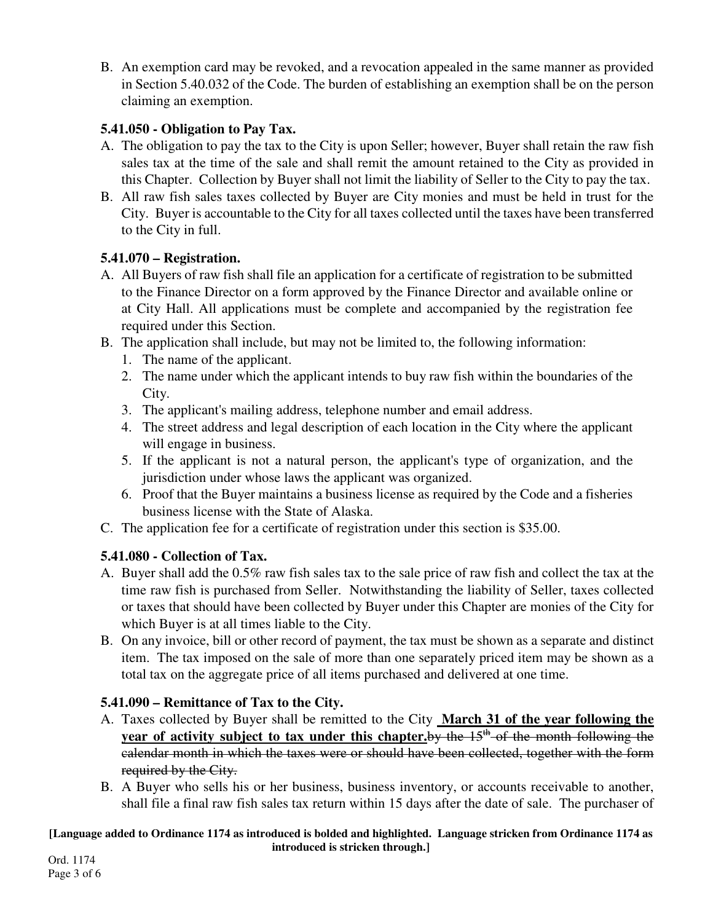B. An exemption card may be revoked, and a revocation appealed in the same manner as provided in Section 5.40.032 of the Code. The burden of establishing an exemption shall be on the person claiming an exemption.

## **5.41.050 - Obligation to Pay Tax.**

- A. The obligation to pay the tax to the City is upon Seller; however, Buyer shall retain the raw fish sales tax at the time of the sale and shall remit the amount retained to the City as provided in this Chapter. Collection by Buyer shall not limit the liability of Seller to the City to pay the tax.
- B. All raw fish sales taxes collected by Buyer are City monies and must be held in trust for the City. Buyer is accountable to the City for all taxes collected until the taxes have been transferred to the City in full.

## **5.41.070 – Registration.**

- A. All Buyers of raw fish shall file an application for a certificate of registration to be submitted to the Finance Director on a form approved by the Finance Director and available online or at City Hall. All applications must be complete and accompanied by the registration fee required under this Section.
- B. The application shall include, but may not be limited to, the following information:
	- 1. The name of the applicant.
	- 2. The name under which the applicant intends to buy raw fish within the boundaries of the City.
	- 3. The applicant's mailing address, telephone number and email address.
	- 4. The street address and legal description of each location in the City where the applicant will engage in business.
	- 5. If the applicant is not a natural person, the applicant's type of organization, and the jurisdiction under whose laws the applicant was organized.
	- 6. Proof that the Buyer maintains a business license as required by the Code and a fisheries business license with the State of Alaska.
- C. The application fee for a certificate of registration under this section is \$35.00.

# **5.41.080 - Collection of Tax.**

- A. Buyer shall add the 0.5% raw fish sales tax to the sale price of raw fish and collect the tax at the time raw fish is purchased from Seller. Notwithstanding the liability of Seller, taxes collected or taxes that should have been collected by Buyer under this Chapter are monies of the City for which Buyer is at all times liable to the City.
- B. On any invoice, bill or other record of payment, the tax must be shown as a separate and distinct item. The tax imposed on the sale of more than one separately priced item may be shown as a total tax on the aggregate price of all items purchased and delivered at one time.

# **5.41.090 – Remittance of Tax to the City.**

- A. Taxes collected by Buyer shall be remitted to the City **March 31 of the year following the year of activity subject to tax under this chapter.**by the 15<sup>th</sup> of the month following the calendar month in which the taxes were or should have been collected, together with the form required by the City.
- B. A Buyer who sells his or her business, business inventory, or accounts receivable to another, shall file a final raw fish sales tax return within 15 days after the date of sale. The purchaser of

#### **[Language added to Ordinance 1174 as introduced is bolded and highlighted. Language stricken from Ordinance 1174 as introduced is stricken through.]**

Ord. 1174 Page 3 of 6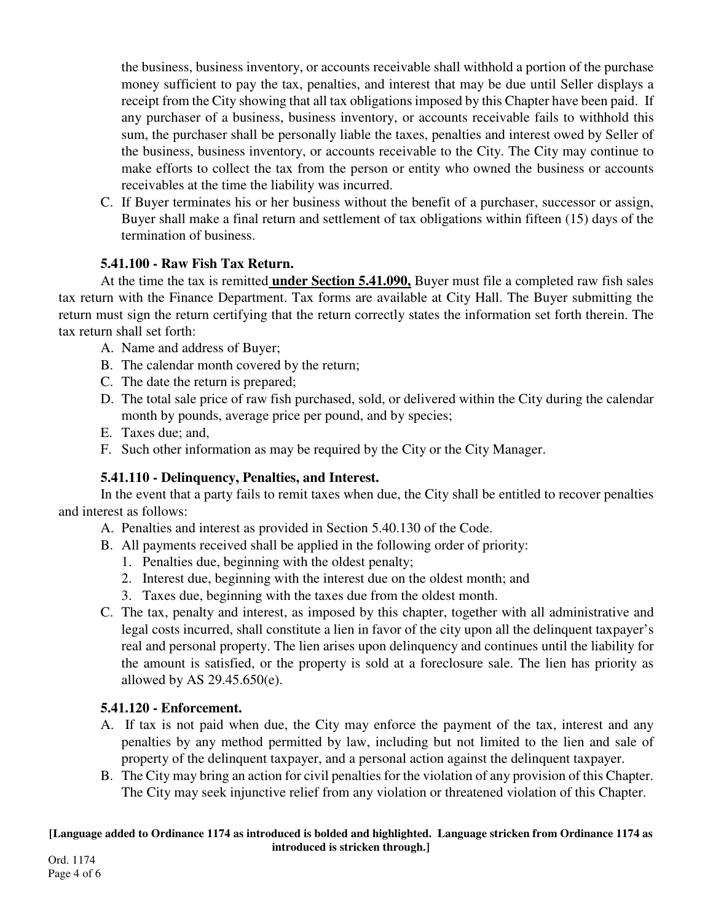the business, business inventory, or accounts receivable shall withhold a portion of the purchase money sufficient to pay the tax, penalties, and interest that may be due until Seller displays a receipt from the City showing that all tax obligations imposed by this Chapter have been paid. If any purchaser of a business, business inventory, or accounts receivable fails to withhold this sum, the purchaser shall be personally liable the taxes, penalties and interest owed by Seller of the business, business inventory, or accounts receivable to the City. The City may continue to make efforts to collect the tax from the person or entity who owned the business or accounts receivables at the time the liability was incurred.

C. If Buyer terminates his or her business without the benefit of a purchaser, successor or assign, Buyer shall make a final return and settlement of tax obligations within fifteen (15) days of the termination of business.

### **5.41.100 - Raw Fish Tax Return.**

At the time the tax is remitted **under Section 5.41.090,** Buyer must file a completed raw fish sales tax return with the Finance Department. Tax forms are available at City Hall. The Buyer submitting the return must sign the return certifying that the return correctly states the information set forth therein. The tax return shall set forth:

- A. Name and address of Buyer;
- B. The calendar month covered by the return;
- C. The date the return is prepared;
- D. The total sale price of raw fish purchased, sold, or delivered within the City during the calendar month by pounds, average price per pound, and by species;
- E. Taxes due; and,
- F. Such other information as may be required by the City or the City Manager.

## **5.41.110 - Delinquency, Penalties, and Interest.**

In the event that a party fails to remit taxes when due, the City shall be entitled to recover penalties and interest as follows:

A. Penalties and interest as provided in Section 5.40.130 of the Code.

- B. All payments received shall be applied in the following order of priority:
	- 1. Penalties due, beginning with the oldest penalty;
	- 2. Interest due, beginning with the interest due on the oldest month; and
	- 3. Taxes due, beginning with the taxes due from the oldest month.
- C. The tax, penalty and interest, as imposed by this chapter, together with all administrative and legal costs incurred, shall constitute a lien in favor of the city upon all the delinquent taxpayer's real and personal property. The lien arises upon delinquency and continues until the liability for the amount is satisfied, or the property is sold at a foreclosure sale. The lien has priority as allowed by AS 29.45.650(e).

## **5.41.120 - Enforcement.**

- A. If tax is not paid when due, the City may enforce the payment of the tax, interest and any penalties by any method permitted by law, including but not limited to the lien and sale of property of the delinquent taxpayer, and a personal action against the delinquent taxpayer.
- B. The City may bring an action for civil penalties for the violation of any provision of this Chapter. The City may seek injunctive relief from any violation or threatened violation of this Chapter.

#### **[Language added to Ordinance 1174 as introduced is bolded and highlighted. Language stricken from Ordinance 1174 as introduced is stricken through.]**

Ord. 1174 Page 4 of 6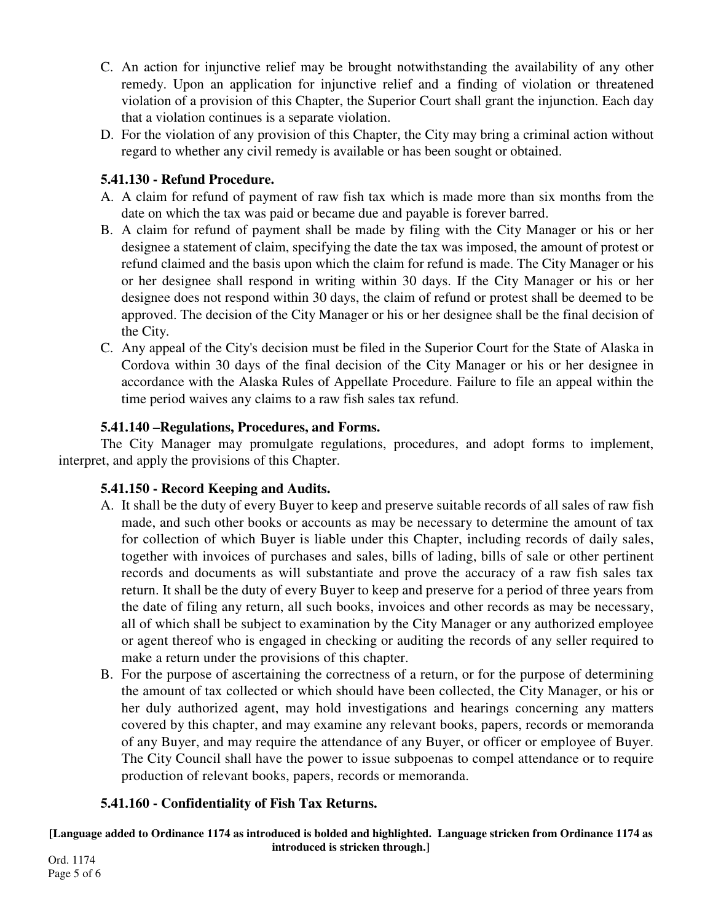- C. An action for injunctive relief may be brought notwithstanding the availability of any other remedy. Upon an application for injunctive relief and a finding of violation or threatened violation of a provision of this Chapter, the Superior Court shall grant the injunction. Each day that a violation continues is a separate violation.
- D. For the violation of any provision of this Chapter, the City may bring a criminal action without regard to whether any civil remedy is available or has been sought or obtained.

### **5.41.130 - Refund Procedure.**

- A. A claim for refund of payment of raw fish tax which is made more than six months from the date on which the tax was paid or became due and payable is forever barred.
- B. A claim for refund of payment shall be made by filing with the City Manager or his or her designee a statement of claim, specifying the date the tax was imposed, the amount of protest or refund claimed and the basis upon which the claim for refund is made. The City Manager or his or her designee shall respond in writing within 30 days. If the City Manager or his or her designee does not respond within 30 days, the claim of refund or protest shall be deemed to be approved. The decision of the City Manager or his or her designee shall be the final decision of the City.
- C. Any appeal of the City's decision must be filed in the Superior Court for the State of Alaska in Cordova within 30 days of the final decision of the City Manager or his or her designee in accordance with the Alaska Rules of Appellate Procedure. Failure to file an appeal within the time period waives any claims to a raw fish sales tax refund.

## **5.41.140 –Regulations, Procedures, and Forms.**

The City Manager may promulgate regulations, procedures, and adopt forms to implement, interpret, and apply the provisions of this Chapter.

### **5.41.150 - Record Keeping and Audits.**

- A. It shall be the duty of every Buyer to keep and preserve suitable records of all sales of raw fish made, and such other books or accounts as may be necessary to determine the amount of tax for collection of which Buyer is liable under this Chapter, including records of daily sales, together with invoices of purchases and sales, bills of lading, bills of sale or other pertinent records and documents as will substantiate and prove the accuracy of a raw fish sales tax return. It shall be the duty of every Buyer to keep and preserve for a period of three years from the date of filing any return, all such books, invoices and other records as may be necessary, all of which shall be subject to examination by the City Manager or any authorized employee or agent thereof who is engaged in checking or auditing the records of any seller required to make a return under the provisions of this chapter.
- B. For the purpose of ascertaining the correctness of a return, or for the purpose of determining the amount of tax collected or which should have been collected, the City Manager, or his or her duly authorized agent, may hold investigations and hearings concerning any matters covered by this chapter, and may examine any relevant books, papers, records or memoranda of any Buyer, and may require the attendance of any Buyer, or officer or employee of Buyer. The City Council shall have the power to issue subpoenas to compel attendance or to require production of relevant books, papers, records or memoranda.

## **5.41.160 - Confidentiality of Fish Tax Returns.**

**[Language added to Ordinance 1174 as introduced is bolded and highlighted. Language stricken from Ordinance 1174 as introduced is stricken through.]**

Ord. 1174 Page 5 of 6